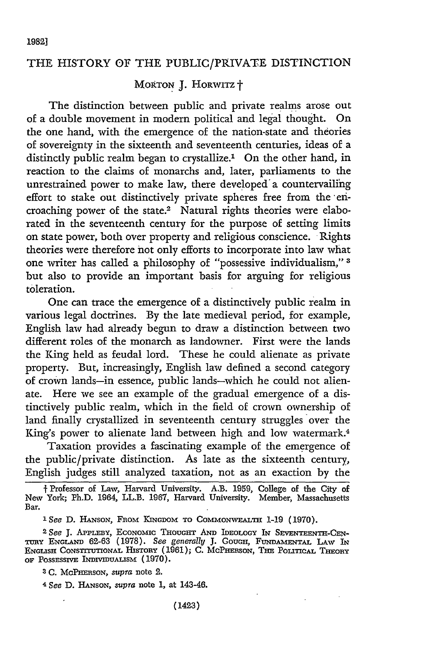## THE HISTORY OF THE PUBLIC/PRIVATE DISTINCTION

## MORTON J. HORWITZ +

The distinction between public and private realms arose out of a double movement in modern political and legal thought. On the one hand, with the emergence of the nation-state and theories of sovereignty in the sixteenth and seventeenth centuries, ideas of a distinctly public realm began to crystallize.<sup>1</sup> On the other hand, in reaction to the claims of monarchs and, later, parliaments to the unrestrained power to make law, there developed'a countervailing effort to stake out distinctively private spheres free from the encroaching power of the state.<sup>2</sup> Natural rights theories were elaborated in the seventeenth century for the purpose of setting limits on state power, both over property and religious conscience. Rights theories were therefore not only efforts to incorporate into law what one writer has called a philosophy of "possessive individualism," **3** but also to provide an important basis for arguing for religious toleration.

One can trace the emergence of a distinctively public realm in various legal doctrines. By the late medieval period, for example, English law had already begun to draw a distinction between two different roles of the monarch as landowner. First were the lands the King held as feudal lord. These he could alienate as private property. But, increasingly, English law defined a second category of crown lands-in essence, public lands-which he could not alienate. Here we see an example of the gradual emergence of a distinctively public realm, which in the field of crown ownership of land finally crystallized in seventeenth century struggles over the King's power to alienate land between high and low watermark.4

Taxation provides a fascinating example of the emergence of the public/private distinction. As late as the sixteenth century, English judges still analyzed taxation, not as an exaction by the

<sup>1</sup> See D. HANSON, FROM KINGDOM TO COMMONWEALTH 1-19 (1970).

<sup>2</sup> See I. APPLEBY, **ECONOMIC THOUGHT AND IDEOLOGY IN SEVENTEENTE-CEN-TuRY** ENGLAND 62-63 (1978). *See generally J.* **COUGH, FUNDAMENTAL** LAW **IN** ENGLISH CONSTITUTIONAL HISTORY (1961); C. MCPHERSON, THE POLITICAL THEORY OF POSSESSIVE INDIVIDUALISM (1970).

<sup>3</sup> C. McPHERSON, *supra* note 2.

4 *See* D. HANSON, *supra* note **1,** at 143-46.

**f** Professor of Law, Harvard University. A.B. 1959, College of the City of New York; Ph.D. 1964, LL.B. 1967, Harvard University. Member, Massachusetts Bar.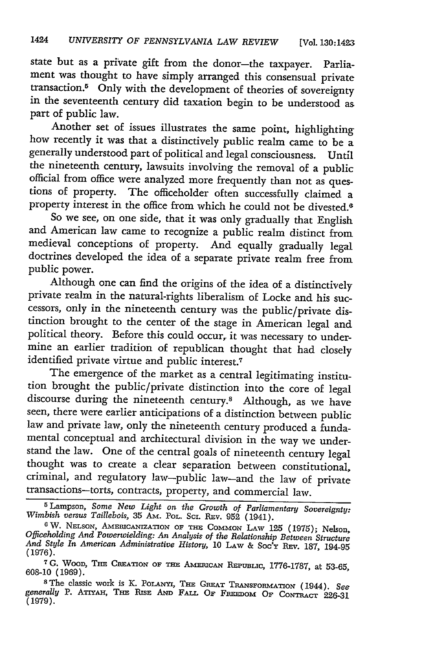state but as a private gift from the donor-the taxpayer. Parliament was thought to have simply arranged this consensual private transaction." Only with the development of theories of sovereignty in the seventeenth century did taxation begin to be understood as part of public law.

Another set of issues illustrates the same point, highlighting how recently it was that a distinctively public realm came to be a generally understood part of political and legal consciousness. Until official from office were analyzed more frequently than not as ques-<br>tions of property. The officeholder often successfully claimed a property interest in the office from which he could not be divested.<sup>6</sup>

So we see, on one side, that it was only gradually that English and American law came to recognize a public realm distinct from medieval conceptions of property. And equally gradually legal doctrines developed the idea of a separate private realm free from public power.

Although one can find the origins of the idea of a distinctively private realm in the natural-rights liberalism of Locke and his successors, only in the nineteenth century was the public/private distinction brought to the center of the stage in American legal and political theory. Before this could occur, it was necessary to undermine an earlier tradition of republican thought that had closely identified private virtue and public interest.7

The emergence of the market as a central legitimating institution brought the public/private distinction into the core of legal discourse during the nineteenth century.<sup>8</sup> Although, as we have seen, there were earlier anticipations of a distinction between public law and private law, only the nineteenth century produced a fundamental conceptual and architectural division in the way we understand the law. One of the central goals of nineteenth century legal thought was to create a clear separation between constitutional, criminal, and regulatory law-public law-and the law of private transactions-torts, contracts, property, and commercial law.

**7G.** WOOD, **THE** CREATION OF **THE** AMmcAN **REPuBmc,** 1776-1787, at 53-65, **608-10 (1969).**

<sup>&</sup>lt;sup>5</sup> Lampson, *Some New Light on the Growth of Parliamentary Sovereignty:*<br>Wimbish versus Taillebois, 35 AM. POL. SCI. REV. 952 (1941).<br><sup>6</sup> W. NELSON, AMERICANIZATION OF THE COMMON LAW 125 (1975); Nelson,<br>Officeholding And *And Style In American Administrative History,* 10 LAW & Soc'y Ruv. 187, 194-95 (1976).

**<sup>8</sup>**The classic work is K. PoLANyI, **THE** GREAT **TRANsFoRMAnToN** (1944). *See* generally P. ATTYAH, THE RISE AND FALL OF FREEDOM OF CONTRACT 226-31 **(1979).**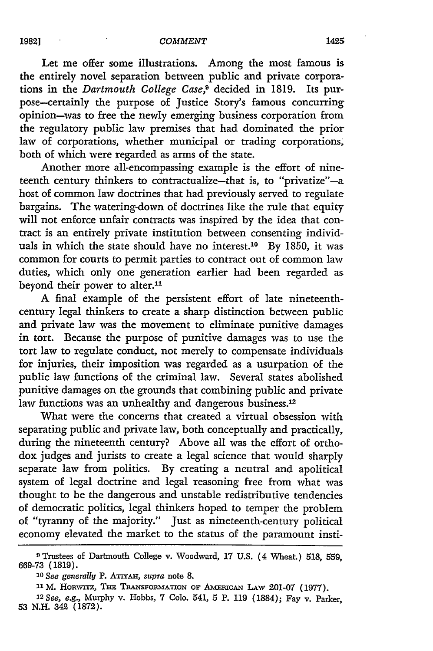Let me offer some illustrations. Among the most famous is the entirely novel separation between public and private corporations in the *Dartmouth College Case9* decided in 1819. Its purpose--certainly the purpose of Justice Story's famous concurring opinion-was to free the newly emerging business corporation from the regulatory public law premises that had dominated the prior law of corporations, whether municipal or trading corporations, both of which were regarded as arms of the state.

Another more all-encompassing example is the effort of nineteenth century thinkers to contractualize-that is, to "privatize"-a host of common law doctrines that had previously served to regulate bargains. The watering-down of doctrines like the rule that equity will not enforce unfair contracts was inspired by the idea that contract is an entirely private institution between consenting individuals in which the state should have no interest.<sup>10</sup> By 1850, it was common for courts to permit parties to contract out of common law duties, which only one generation earlier had been regarded as beyond their power to alter.<sup>11</sup>

A final example of the persistent effort of late nineteenthcentury legal thinkers to create a sharp distinction between public and private law was the movement to eliminate punitive damages in tort. Because the purpose of punitive damages was to use the tort law to regulate conduct, not merely to compensate individuals for injuries, their imposition was regarded as a usurpation of the public law functions of the criminal law. Several states abolished punitive damages on the grounds that combining public and private law functions was an unhealthy and dangerous business.<sup>12</sup>

What were the concerns that created a virtual obsession with separating public and private law, both conceptually and practically, during the nineteenth century? Above all was the effort of orthodox judges and jurists to create a legal science that would sharply separate law from politics. By creating a neutral and apolitical system of legal doctrine and legal reasoning free from what was thought to be the dangerous and unstable redistributive tendencies of democratic politics, legal thinkers hoped to temper the problem of "tyranny of the majority." Just as nineteenth-century political economy elevated the market to the status of the paramount insti-

<sup>9</sup>Trustees of Dartmouth College v. Woodward, **17 U.S.** (4 Wheat.) 518, 559, **669-73** (1819).

<sup>10</sup> See generally P. ATIYAH, *supra* note 8.

<sup>11</sup> M. HORWITZ, THE TRANSFORMATION OF AMERICAN LAW 201-07 (1977).

<sup>12</sup> *See, e.g.,* Murphy v. Hobbs, 7 Colo. 541, 5 P. 119 (1884); Fay v. Parker, 53 N.H. 342 (1872).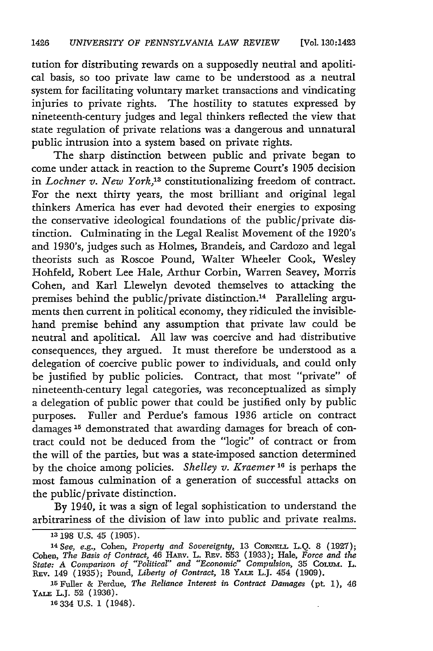tution for distributing rewards on a supposedly neutral and apolitical basis, so too private law came to be understood as a neutral system. for facilitating voluntary market transactions and vindicating injuries to private rights. The hostility to statutes expressed by nineteenth-century judges and legal thinkers reflected the view that state regulation of private relations was a dangerous and unnatural public intrusion into a system based on private rights.

The sharp distinction between public and private began to come under attack in reaction to the Supreme Court's 1905 decision in *Lochner v. New York*,<sup>13</sup> constitutionalizing freedom of contract. For the next thirty years, the most brilliant and original legal thinkers America has ever had devoted their energies to exposing the conservative ideological foundations of the public/private distinction. Culminating in the Legal Realist Movement of the 1920's and 1930's, judges such as Holmes, Brandeis, and Cardozo and legal theorists such as Roscoe Pound, Walter Wheeler Cook, Wesley Hohfeld, Robert Lee Hale, Arthur Corbin, Warren Seavey, Morris Cohen, and Karl Llewelyn devoted themselves to attacking the premises behind the public/private distinction.<sup>14</sup> Paralleling arguments then current in political economy, they ridiculed the invisiblehand premise behind any assumption that private law could be neutral and apolitical. All law was coercive and had distributive consequences, they argued. It must therefore be understood as a delegation of coercive public power to individuals, and could only be justified by public policies. Contract, that most "private" of nineteenth-century legal categories, was reconceptualized as simply a delegation of public power that could be justified only by public purposes. Fuller and Perdue's famous 1936 article on contract damages **15** demonstrated that awarding damages for breach of contract could not be deduced from the "logic" of contract or from the will of the parties, but was a state-imposed sanction determined by the choice among policies. *Shelley v. Kraemer* **1 <sup>6</sup>**is perhaps the most famous culmination of a generation of successful attacks on the public/private distinction.

By 1940, it was a sign of legal sophistication to understand the arbitrariness of the division of law into public and private realms.

**16** 334 U.S. 1 (1948).

**<sup>13</sup>**198 U.S. 45 (1905).

<sup>&</sup>lt;sup>14</sup> See, e.g., Cohen, Property and Sovereignty, 13 CORNELL L.Q. 8 (1927) Cohen, *The Basis of Contract,* 46 HAav. L. REv. 553 (1933); Hale, *Force and the State: A Comparison of "Political" and "Economic" Compulsion,* 35 **CoLum.** L. **REv.** 149 (1935); Pound, *Liberty of Contract,* 18 YALE LJ. 454 (1909).

**<sup>15</sup>**Fuller & Perdue, *The Reliance Interest in Contract Damages (pt.* 1), 46 YALE L.J. **52** (1936).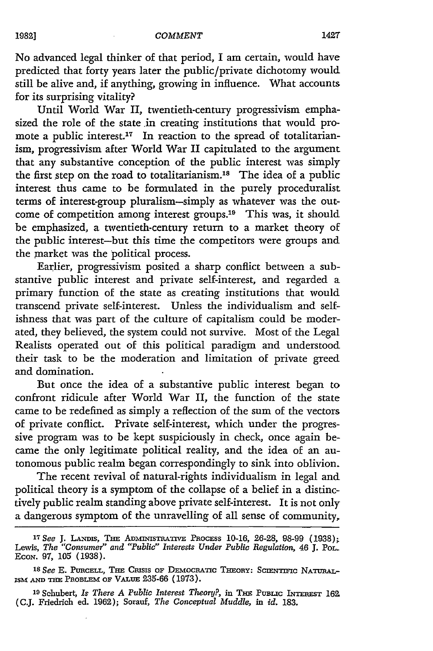No advanced legal thinker of that period, I am certain, would have predicted that forty years later the public/private dichotomy would still be alive and, if anything, growing in influence. What accounts for its surprising vitality?

Until World War II, twentieth-century progressivism emphasized the role of the state in creating institutions that would promote a public interest.<sup>17</sup> In reaction to the spread of totalitarianism, progressivism after World War II capitulated to the argument that any substantive conception of the public interest was simply the first step on the road to totalitarianism.<sup>18</sup> The idea of a public interest thus came to be formulated in the purely proceduralist terms of interest-group pluralism-simply as whatever was the outcome of competition among interest groups.<sup>19</sup> This was, it should be emphasized, a twentieth-century return to a market theory of the public interest-but this time the competitors were groups and the market was the political process.

Earlier, progressivism posited a sharp conflict between a substantive public interest and private self-interest, and regarded a primary function of the state as creating institutions that would transcend private self-interest. Unless the individualism and selfishness that was part of the culture of capitalism could be moderated, they believed, the system could not survive. Most of the Legal Realists operated out of this political paradigm and understood their task to be the moderation and limitation of private greed and domination.

But once the idea of a substantive public interest began to confront ridicule after World War II, the function of the state came to be redefined as simply a reflection of the sum of the vectors of private conflict. Private self-interest, which under the progressive program was to be kept suspiciously in check, once again became the only legitimate political reality, and the idea of an autonomous public realm began correspondingly to sink into oblivion.

The recent revival of natural-rights individualism in legal and political theory is a symptom of the collapse of a belief in a distinctively public realm standing above private self-interest. It is not only a dangerous symptom of the unravelling of all sense of community,

19 Schubert, *Is There A Public Interest Theory?*, in THE PUBLIC INTEREST 162. (C.J. Friedrich ed. 1962); Sorauf, *The Conceptual Muddle, in id.* 183.

*<sup>17</sup>See* J. LANis, ThE **ADMINIsTRATIVE PROCESS** 10-16, 26-28, 98-99 (1938); Lewis, *The "Consumer" and "Public" Interests Under Public Regulation, 46 J. Pol.* ECON. 97, 105 (1938).

<sup>&</sup>lt;sup>18</sup> See E. Purcell, The Crisis of Democratic Theory: Scientific Natural-ISM AND THE PROBLEM OF VALUE 235-66 (1973).